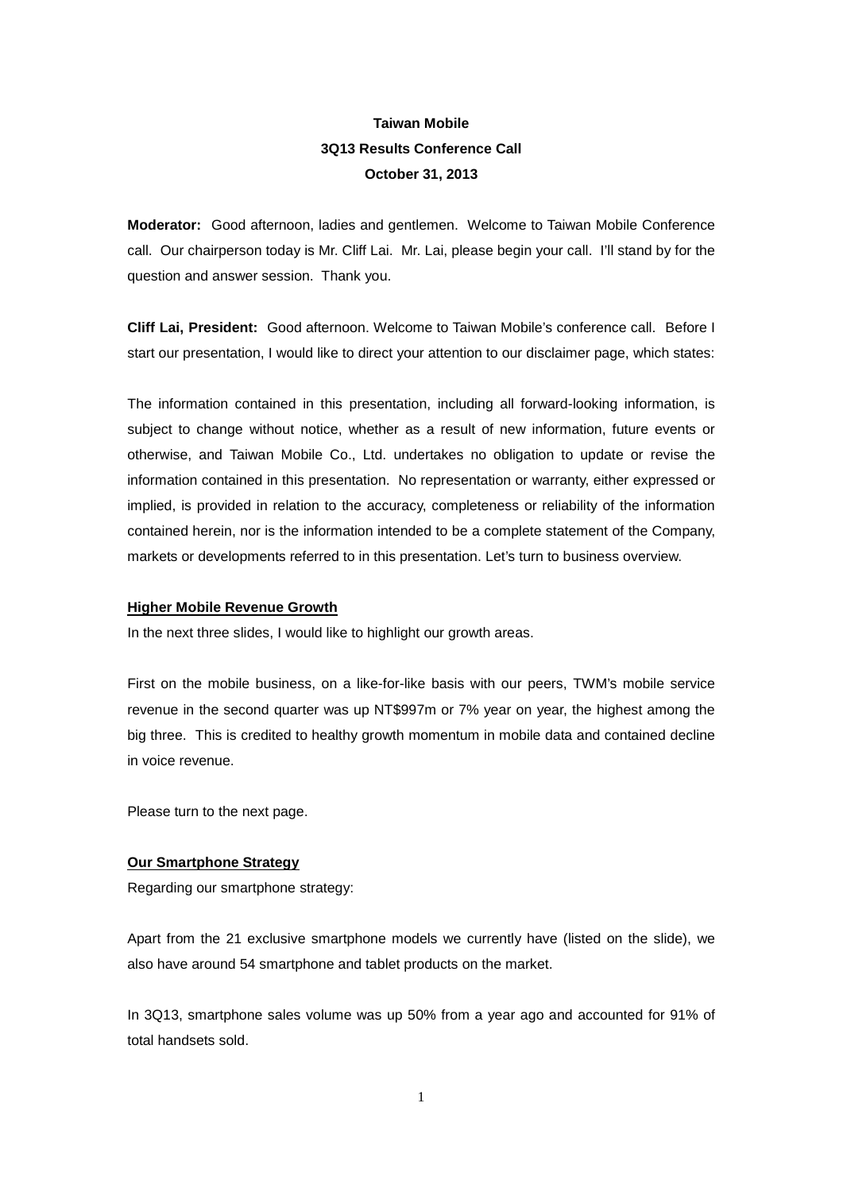# **Taiwan Mobile 3Q13 Results Conference Call October 31, 2013**

**Moderator:** Good afternoon, ladies and gentlemen. Welcome to Taiwan Mobile Conference call. Our chairperson today is Mr. Cliff Lai. Mr. Lai, please begin your call. I'll stand by for the question and answer session. Thank you.

**Cliff Lai, President:** Good afternoon. Welcome to Taiwan Mobile's conference call.Before I start our presentation, I would like to direct your attention to our disclaimer page, which states:

The information contained in this presentation, including all forward-looking information, is subject to change without notice, whether as a result of new information, future events or otherwise, and Taiwan Mobile Co., Ltd. undertakes no obligation to update or revise the information contained in this presentation. No representation or warranty, either expressed or implied, is provided in relation to the accuracy, completeness or reliability of the information contained herein, nor is the information intended to be a complete statement of the Company, markets or developments referred to in this presentation. Let's turn to business overview.

#### **Higher Mobile Revenue Growth**

In the next three slides, I would like to highlight our growth areas.

First on the mobile business, on a like-for-like basis with our peers, TWM's mobile service revenue in the second quarter was up NT\$997m or 7% year on year, the highest among the big three. This is credited to healthy growth momentum in mobile data and contained decline in voice revenue.

Please turn to the next page.

#### **Our Smartphone Strategy**

Regarding our smartphone strategy:

Apart from the 21 exclusive smartphone models we currently have (listed on the slide), we also have around 54 smartphone and tablet products on the market.

In 3Q13, smartphone sales volume was up 50% from a year ago and accounted for 91% of total handsets sold.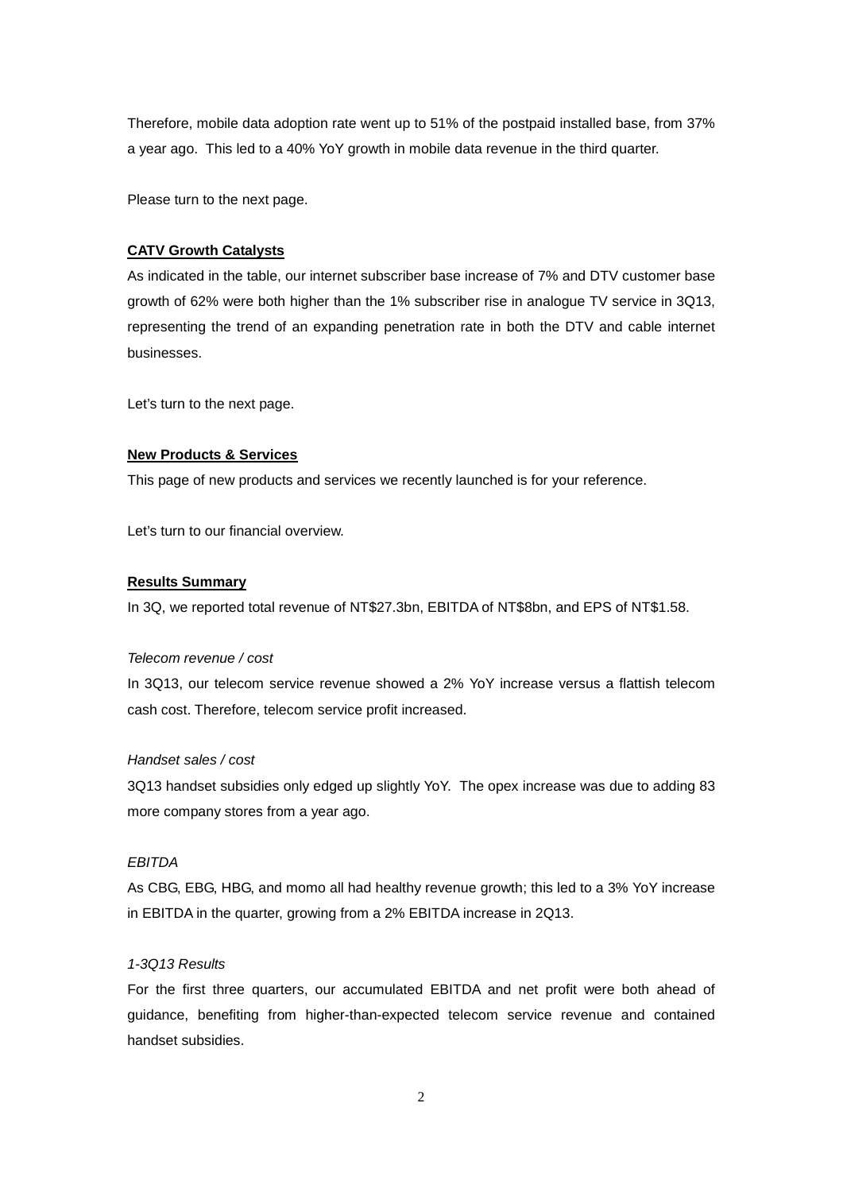Therefore, mobile data adoption rate went up to 51% of the postpaid installed base, from 37% a year ago. This led to a 40% YoY growth in mobile data revenue in the third quarter.

Please turn to the next page.

## **CATV Growth Catalysts**

As indicated in the table, our internet subscriber base increase of 7% and DTV customer base growth of 62% were both higher than the 1% subscriber rise in analogue TV service in 3Q13, representing the trend of an expanding penetration rate in both the DTV and cable internet businesses.

Let's turn to the next page.

#### **New Products & Services**

This page of new products and services we recently launched is for your reference.

Let's turn to our financial overview.

#### **Results Summary**

In 3Q, we reported total revenue of NT\$27.3bn, EBITDA of NT\$8bn, and EPS of NT\$1.58.

#### *Telecom revenue / cost*

In 3Q13, our telecom service revenue showed a 2% YoY increase versus a flattish telecom cash cost. Therefore, telecom service profit increased.

#### *Handset sales / cost*

3Q13 handset subsidies only edged up slightly YoY. The opex increase was due to adding 83 more company stores from a year ago.

#### *EBITDA*

As CBG, EBG, HBG, and momo all had healthy revenue growth; this led to a 3% YoY increase in EBITDA in the quarter, growing from a 2% EBITDA increase in 2Q13.

## *1-3Q13 Results*

For the first three quarters, our accumulated EBITDA and net profit were both ahead of guidance, benefiting from higher-than-expected telecom service revenue and contained handset subsidies.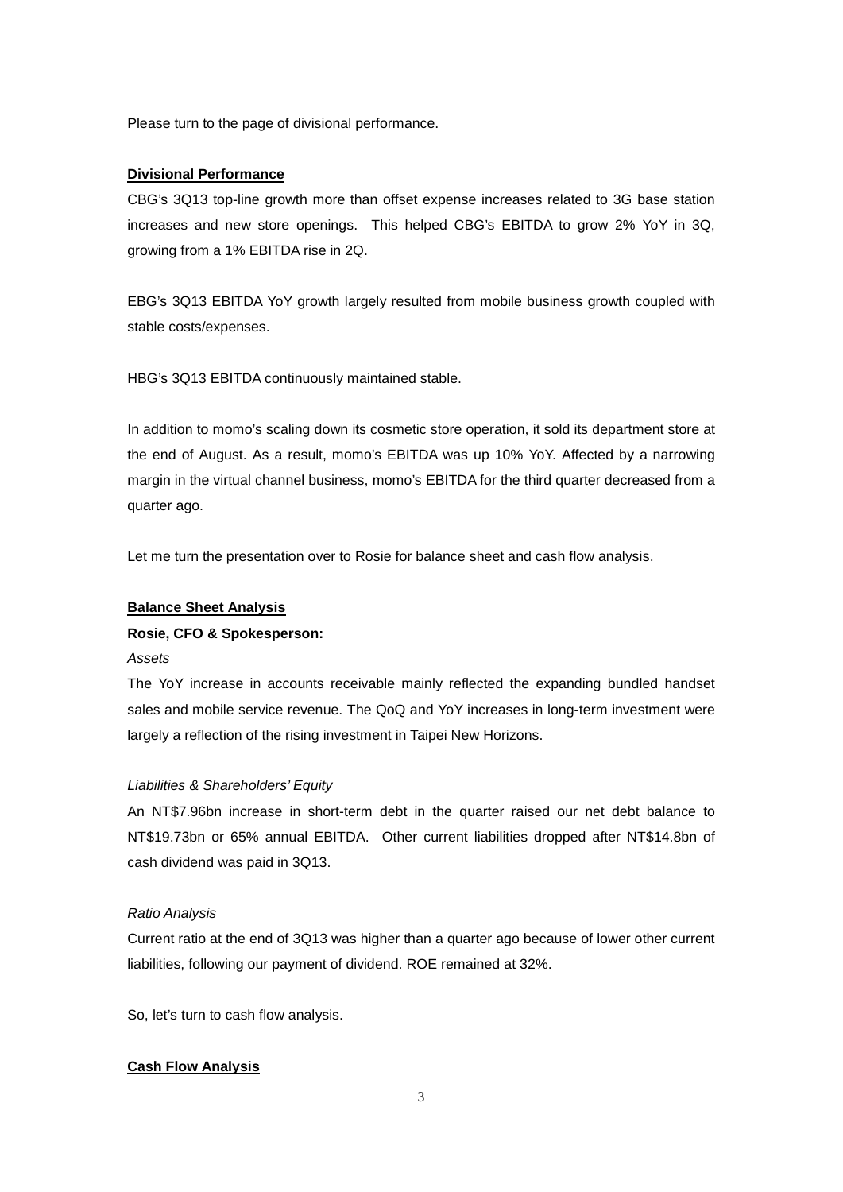Please turn to the page of divisional performance.

#### **Divisional Performance**

CBG's 3Q13 top-line growth more than offset expense increases related to 3G base station increases and new store openings. This helped CBG's EBITDA to grow 2% YoY in 3Q, growing from a 1% EBITDA rise in 2Q.

EBG's 3Q13 EBITDA YoY growth largely resulted from mobile business growth coupled with stable costs/expenses.

HBG's 3Q13 EBITDA continuously maintained stable.

In addition to momo's scaling down its cosmetic store operation, it sold its department store at the end of August. As a result, momo's EBITDA was up 10% YoY. Affected by a narrowing margin in the virtual channel business, momo's EBITDA for the third quarter decreased from a quarter ago.

Let me turn the presentation over to Rosie for balance sheet and cash flow analysis.

#### **Balance Sheet Analysis**

#### **Rosie, CFO & Spokesperson:**

*Assets*

The YoY increase in accounts receivable mainly reflected the expanding bundled handset sales and mobile service revenue. The QoQ and YoY increases in long-term investment were largely a reflection of the rising investment in Taipei New Horizons.

#### *Liabilities & Shareholders' Equity*

An NT\$7.96bn increase in short-term debt in the quarter raised our net debt balance to NT\$19.73bn or 65% annual EBITDA. Other current liabilities dropped after NT\$14.8bn of cash dividend was paid in 3Q13.

#### *Ratio Analysis*

Current ratio at the end of 3Q13 was higher than a quarter ago because of lower other current liabilities, following our payment of dividend. ROE remained at 32%.

So, let's turn to cash flow analysis.

#### **Cash Flow Analysis**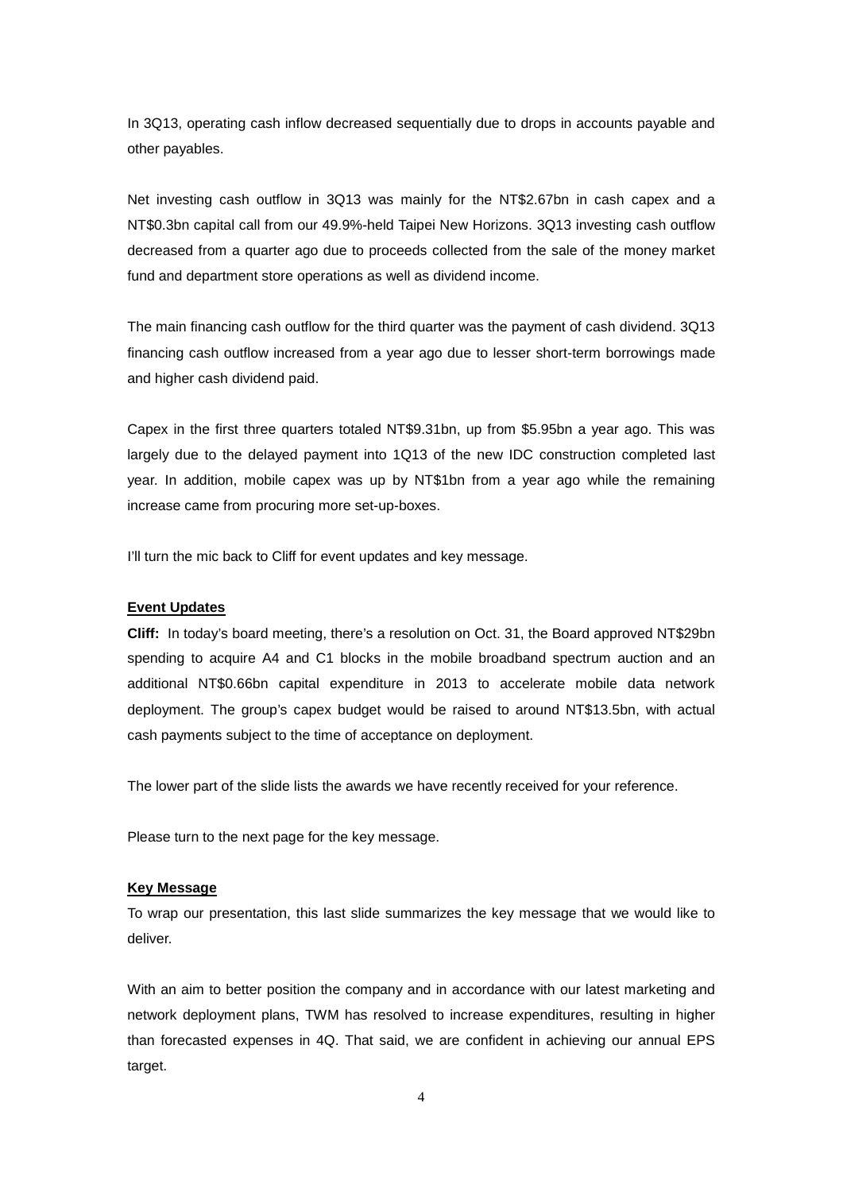In 3Q13, operating cash inflow decreased sequentially due to drops in accounts payable and other payables.

Net investing cash outflow in 3Q13 was mainly for the NT\$2.67bn in cash capex and a NT\$0.3bn capital call from our 49.9%-held Taipei New Horizons. 3Q13 investing cash outflow decreased from a quarter ago due to proceeds collected from the sale of the money market fund and department store operations as well as dividend income.

The main financing cash outflow for the third quarter was the payment of cash dividend. 3Q13 financing cash outflow increased from a year ago due to lesser short-term borrowings made and higher cash dividend paid.

Capex in the first three quarters totaled NT\$9.31bn, up from \$5.95bn a year ago. This was largely due to the delayed payment into 1Q13 of the new IDC construction completed last year. In addition, mobile capex was up by NT\$1bn from a year ago while the remaining increase came from procuring more set-up-boxes.

I'll turn the mic back to Cliff for event updates and key message.

#### **Event Updates**

**Cliff:** In today's board meeting, there's a resolution on Oct. 31, the Board approved NT\$29bn spending to acquire A4 and C1 blocks in the mobile broadband spectrum auction and an additional NT\$0.66bn capital expenditure in 2013 to accelerate mobile data network deployment. The group's capex budget would be raised to around NT\$13.5bn, with actual cash payments subject to the time of acceptance on deployment.

The lower part of the slide lists the awards we have recently received for your reference.

Please turn to the next page for the key message.

#### **Key Message**

To wrap our presentation, this last slide summarizes the key message that we would like to deliver.

With an aim to better position the company and in accordance with our latest marketing and network deployment plans, TWM has resolved to increase expenditures, resulting in higher than forecasted expenses in 4Q. That said, we are confident in achieving our annual EPS target.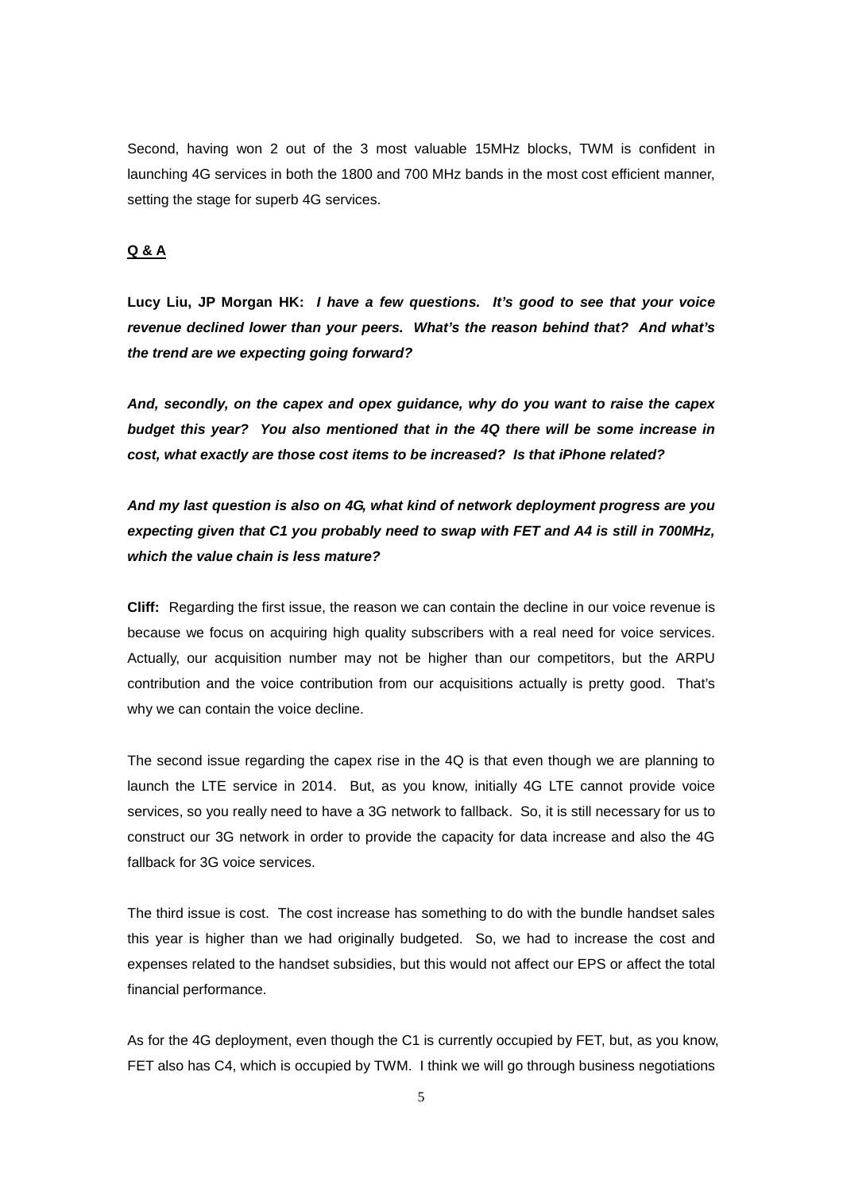Second, having won 2 out of the 3 most valuable 15MHz blocks, TWM is confident in launching 4G services in both the 1800 and 700 MHz bands in the most cost efficient manner, setting the stage for superb 4G services.

# **Q & A**

**Lucy Liu, JP Morgan HK:** *I have a few questions. It's good to see that your voice revenue declined lower than your peers. What's the reason behind that? And what's the trend are we expecting going forward?*

*And, secondly, on the capex and opex guidance, why do you want to raise the capex budget this year? You also mentioned that in the 4Q there will be some increase in cost, what exactly are those cost items to be increased? Is that iPhone related?* 

*And my last question is also on 4G, what kind of network deployment progress are you expecting given that C1 you probably need to swap with FET and A4 is still in 700MHz, which the value chain is less mature?*

**Cliff:** Regarding the first issue, the reason we can contain the decline in our voice revenue is because we focus on acquiring high quality subscribers with a real need for voice services. Actually, our acquisition number may not be higher than our competitors, but the ARPU contribution and the voice contribution from our acquisitions actually is pretty good. That's why we can contain the voice decline.

The second issue regarding the capex rise in the 4Q is that even though we are planning to launch the LTE service in 2014. But, as you know, initially 4G LTE cannot provide voice services, so you really need to have a 3G network to fallback. So, it is still necessary for us to construct our 3G network in order to provide the capacity for data increase and also the 4G fallback for 3G voice services.

The third issue is cost. The cost increase has something to do with the bundle handset sales this year is higher than we had originally budgeted. So, we had to increase the cost and expenses related to the handset subsidies, but this would not affect our EPS or affect the total financial performance.

As for the 4G deployment, even though the C1 is currently occupied by FET, but, as you know, FET also has C4, which is occupied by TWM. I think we will go through business negotiations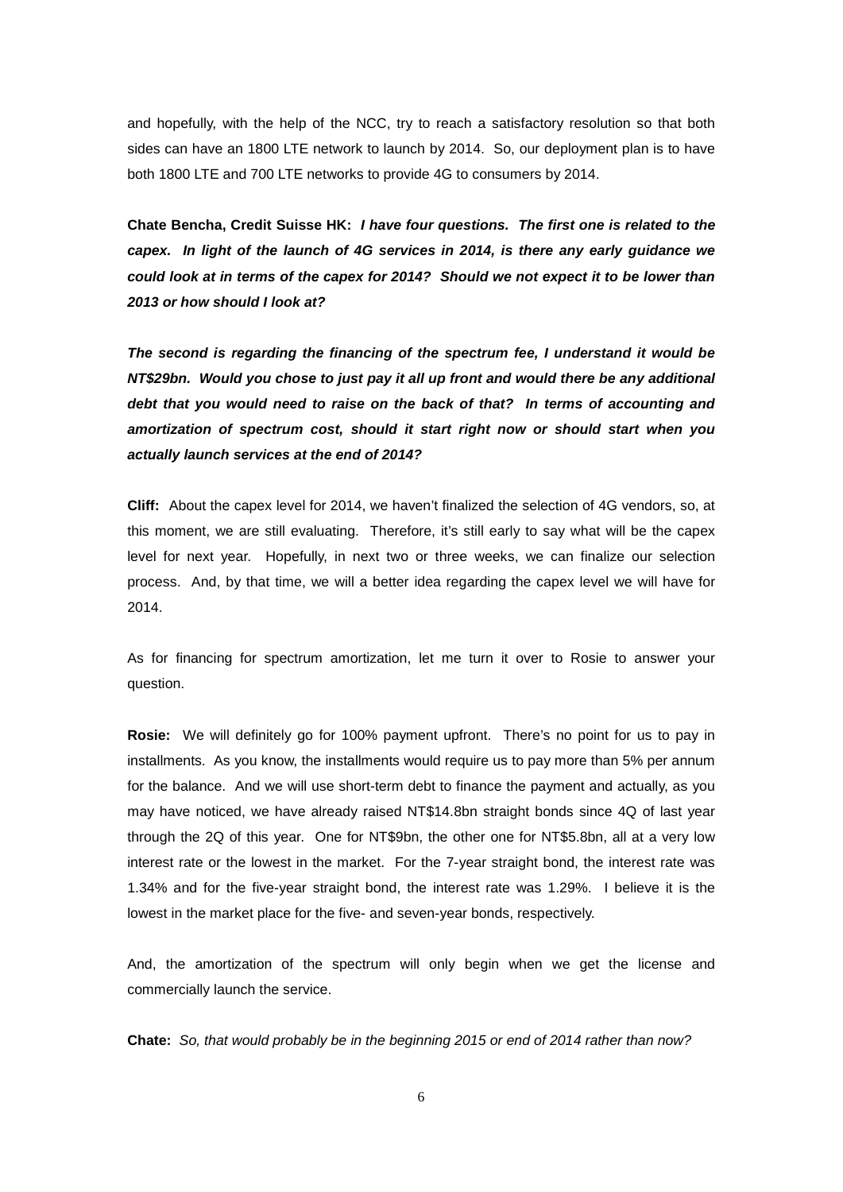and hopefully, with the help of the NCC, try to reach a satisfactory resolution so that both sides can have an 1800 LTE network to launch by 2014. So, our deployment plan is to have both 1800 LTE and 700 LTE networks to provide 4G to consumers by 2014.

**Chate Bencha, Credit Suisse HK:** *I have four questions. The first one is related to the capex. In light of the launch of 4G services in 2014, is there any early guidance we could look at in terms of the capex for 2014? Should we not expect it to be lower than 2013 or how should I look at?*

*The second is regarding the financing of the spectrum fee, I understand it would be NT\$29bn. Would you chose to just pay it all up front and would there be any additional debt that you would need to raise on the back of that? In terms of accounting and amortization of spectrum cost, should it start right now or should start when you actually launch services at the end of 2014?*

**Cliff:** About the capex level for 2014, we haven't finalized the selection of 4G vendors, so, at this moment, we are still evaluating. Therefore, it's still early to say what will be the capex level for next year. Hopefully, in next two or three weeks, we can finalize our selection process. And, by that time, we will a better idea regarding the capex level we will have for 2014.

As for financing for spectrum amortization, let me turn it over to Rosie to answer your question.

**Rosie:** We will definitely go for 100% payment upfront. There's no point for us to pay in installments. As you know, the installments would require us to pay more than 5% per annum for the balance. And we will use short-term debt to finance the payment and actually, as you may have noticed, we have already raised NT\$14.8bn straight bonds since 4Q of last year through the 2Q of this year. One for NT\$9bn, the other one for NT\$5.8bn, all at a very low interest rate or the lowest in the market. For the 7-year straight bond, the interest rate was 1.34% and for the five-year straight bond, the interest rate was 1.29%. I believe it is the lowest in the market place for the five- and seven-year bonds, respectively.

And, the amortization of the spectrum will only begin when we get the license and commercially launch the service.

**Chate:** *So, that would probably be in the beginning 2015 or end of 2014 rather than now?*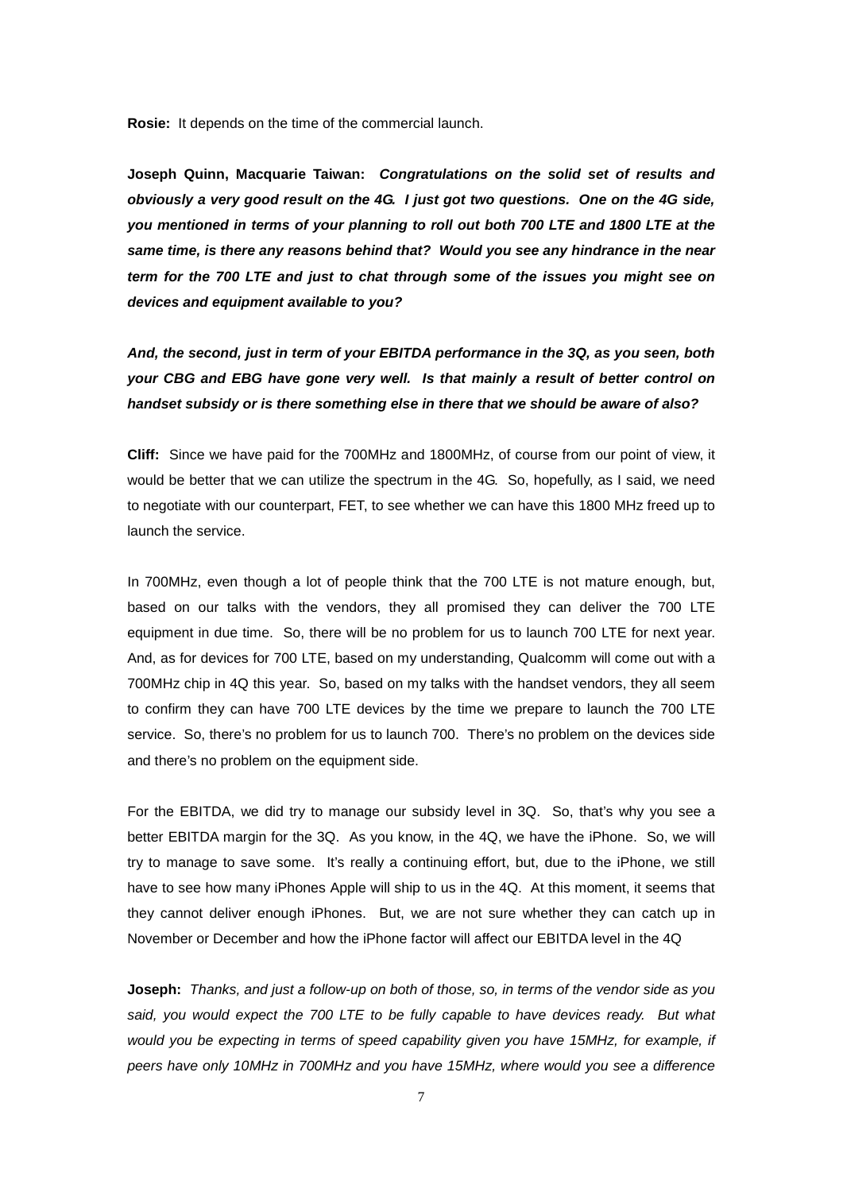**Rosie:** It depends on the time of the commercial launch.

**Joseph Quinn, Macquarie Taiwan:** *Congratulations on the solid set of results and obviously a very good result on the 4G. I just got two questions. One on the 4G side, you mentioned in terms of your planning to roll out both 700 LTE and 1800 LTE at the same time, is there any reasons behind that? Would you see any hindrance in the near term for the 700 LTE and just to chat through some of the issues you might see on devices and equipment available to you?*

*And, the second, just in term of your EBITDA performance in the 3Q, as you seen, both your CBG and EBG have gone very well. Is that mainly a result of better control on handset subsidy or is there something else in there that we should be aware of also?*

**Cliff:** Since we have paid for the 700MHz and 1800MHz, of course from our point of view, it would be better that we can utilize the spectrum in the 4G. So, hopefully, as I said, we need to negotiate with our counterpart, FET, to see whether we can have this 1800 MHz freed up to launch the service.

In 700MHz, even though a lot of people think that the 700 LTE is not mature enough, but, based on our talks with the vendors, they all promised they can deliver the 700 LTE equipment in due time. So, there will be no problem for us to launch 700 LTE for next year. And, as for devices for 700 LTE, based on my understanding, Qualcomm will come out with a 700MHz chip in 4Q this year. So, based on my talks with the handset vendors, they all seem to confirm they can have 700 LTE devices by the time we prepare to launch the 700 LTE service. So, there's no problem for us to launch 700. There's no problem on the devices side and there's no problem on the equipment side.

For the EBITDA, we did try to manage our subsidy level in 3Q. So, that's why you see a better EBITDA margin for the 3Q. As you know, in the 4Q, we have the iPhone. So, we will try to manage to save some. It's really a continuing effort, but, due to the iPhone, we still have to see how many iPhones Apple will ship to us in the 4Q. At this moment, it seems that they cannot deliver enough iPhones. But, we are not sure whether they can catch up in November or December and how the iPhone factor will affect our EBITDA level in the 4Q

**Joseph:** *Thanks, and just a follow-up on both of those, so, in terms of the vendor side as you*  said, you would expect the 700 LTE to be fully capable to have devices ready. But what *would you be expecting in terms of speed capability given you have 15MHz, for example, if peers have only 10MHz in 700MHz and you have 15MHz, where would you see a difference*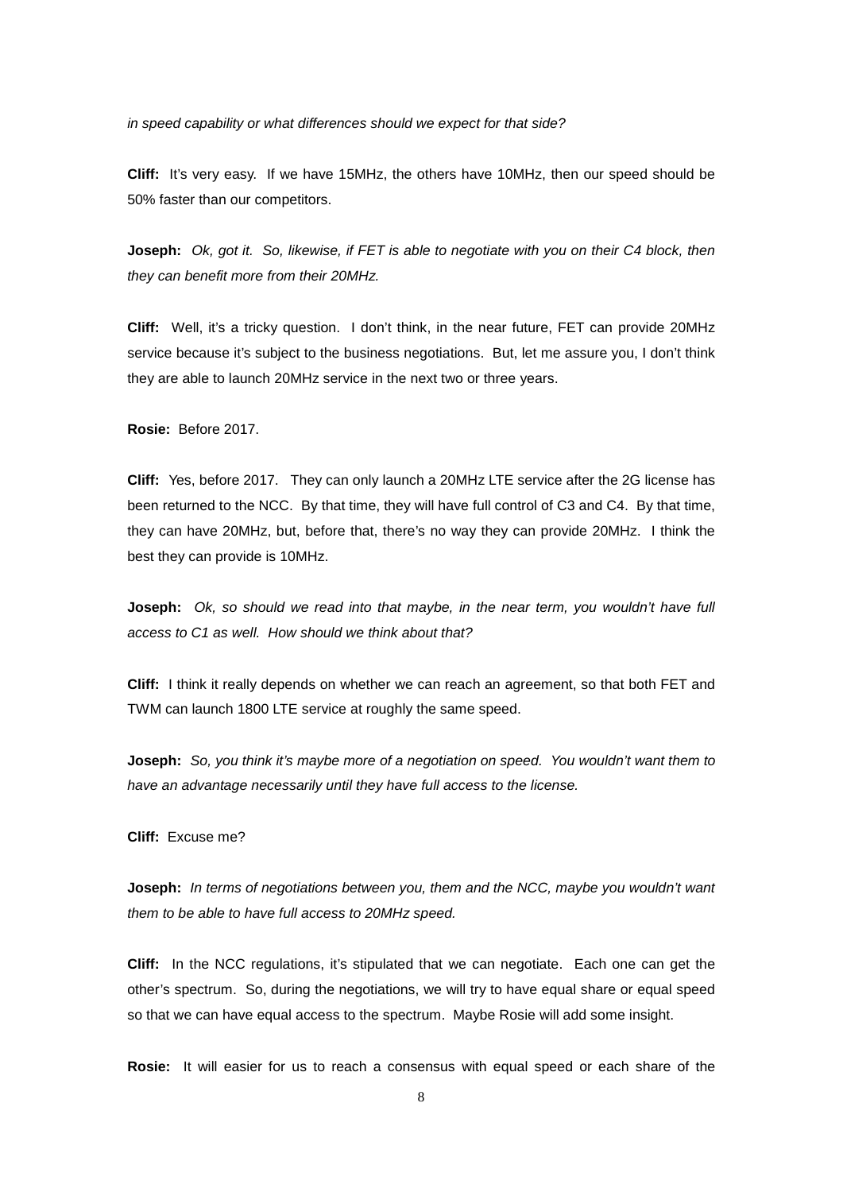*in speed capability or what differences should we expect for that side?*

**Cliff:** It's very easy. If we have 15MHz, the others have 10MHz, then our speed should be 50% faster than our competitors.

**Joseph:** *Ok, got it. So, likewise, if FET is able to negotiate with you on their C4 block, then they can benefit more from their 20MHz.*

**Cliff:** Well, it's a tricky question. I don't think, in the near future, FET can provide 20MHz service because it's subject to the business negotiations. But, let me assure you, I don't think they are able to launch 20MHz service in the next two or three years.

**Rosie:** Before 2017.

**Cliff:** Yes, before 2017. They can only launch a 20MHz LTE service after the 2G license has been returned to the NCC. By that time, they will have full control of C3 and C4. By that time, they can have 20MHz, but, before that, there's no way they can provide 20MHz. I think the best they can provide is 10MHz.

**Joseph:** *Ok, so should we read into that maybe, in the near term, you wouldn't have full access to C1 as well. How should we think about that?* 

**Cliff:** I think it really depends on whether we can reach an agreement, so that both FET and TWM can launch 1800 LTE service at roughly the same speed.

**Joseph:** *So, you think it's maybe more of a negotiation on speed. You wouldn't want them to have an advantage necessarily until they have full access to the license.*

**Cliff:** Excuse me?

**Joseph:** *In terms of negotiations between you, them and the NCC, maybe you wouldn't want them to be able to have full access to 20MHz speed.*

**Cliff:** In the NCC regulations, it's stipulated that we can negotiate. Each one can get the other's spectrum. So, during the negotiations, we will try to have equal share or equal speed so that we can have equal access to the spectrum. Maybe Rosie will add some insight.

**Rosie:** It will easier for us to reach a consensus with equal speed or each share of the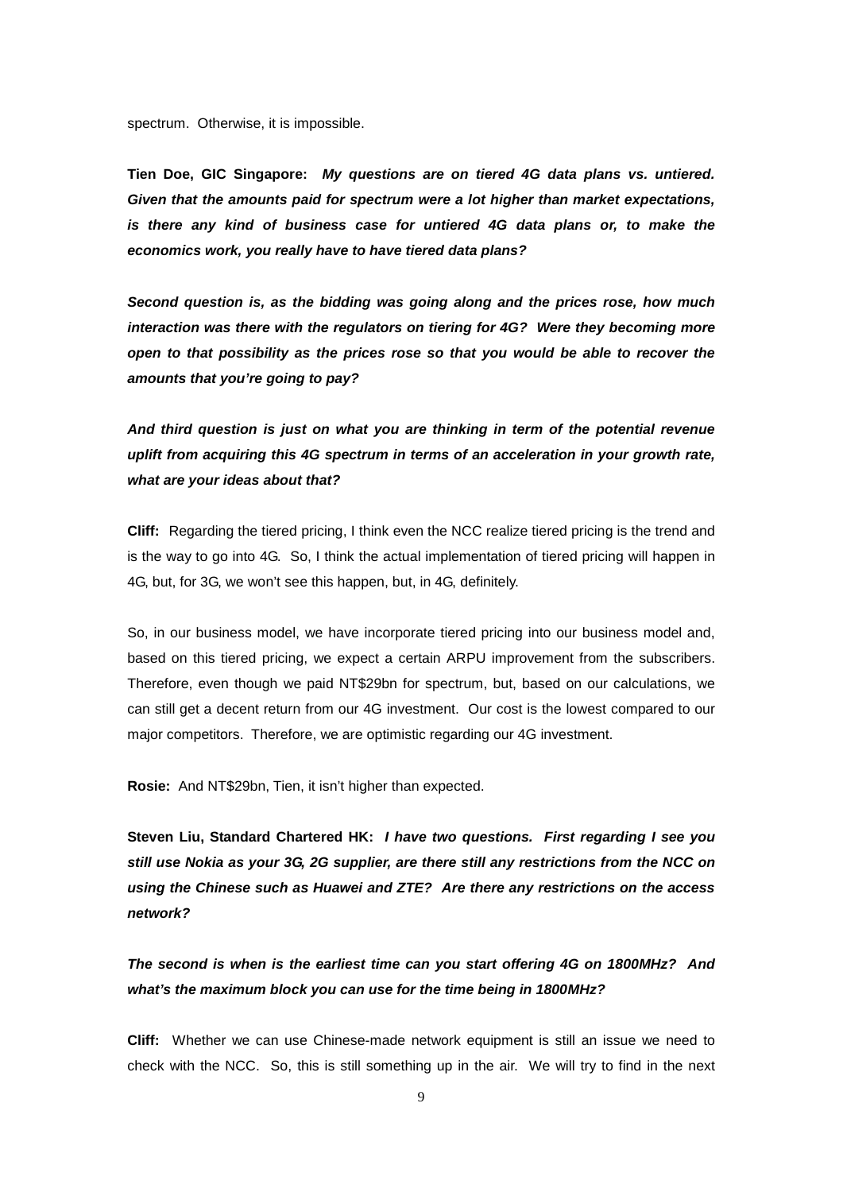spectrum. Otherwise, it is impossible.

**Tien Doe, GIC Singapore:** *My questions are on tiered 4G data plans vs. untiered. Given that the amounts paid for spectrum were a lot higher than market expectations, is there any kind of business case for untiered 4G data plans or, to make the economics work, you really have to have tiered data plans?* 

*Second question is, as the bidding was going along and the prices rose, how much interaction was there with the regulators on tiering for 4G? Were they becoming more open to that possibility as the prices rose so that you would be able to recover the amounts that you're going to pay?*

*And third question is just on what you are thinking in term of the potential revenue uplift from acquiring this 4G spectrum in terms of an acceleration in your growth rate, what are your ideas about that?*

**Cliff:** Regarding the tiered pricing, I think even the NCC realize tiered pricing is the trend and is the way to go into 4G. So, I think the actual implementation of tiered pricing will happen in 4G, but, for 3G, we won't see this happen, but, in 4G, definitely.

So, in our business model, we have incorporate tiered pricing into our business model and, based on this tiered pricing, we expect a certain ARPU improvement from the subscribers. Therefore, even though we paid NT\$29bn for spectrum, but, based on our calculations, we can still get a decent return from our 4G investment. Our cost is the lowest compared to our major competitors. Therefore, we are optimistic regarding our 4G investment.

**Rosie:** And NT\$29bn, Tien, it isn't higher than expected.

**Steven Liu, Standard Chartered HK:** *I have two questions. First regarding I see you still use Nokia as your 3G, 2G supplier, are there still any restrictions from the NCC on using the Chinese such as Huawei and ZTE? Are there any restrictions on the access network?* 

*The second is when is the earliest time can you start offering 4G on 1800MHz? And what's the maximum block you can use for the time being in 1800MHz?*

**Cliff:** Whether we can use Chinese-made network equipment is still an issue we need to check with the NCC. So, this is still something up in the air. We will try to find in the next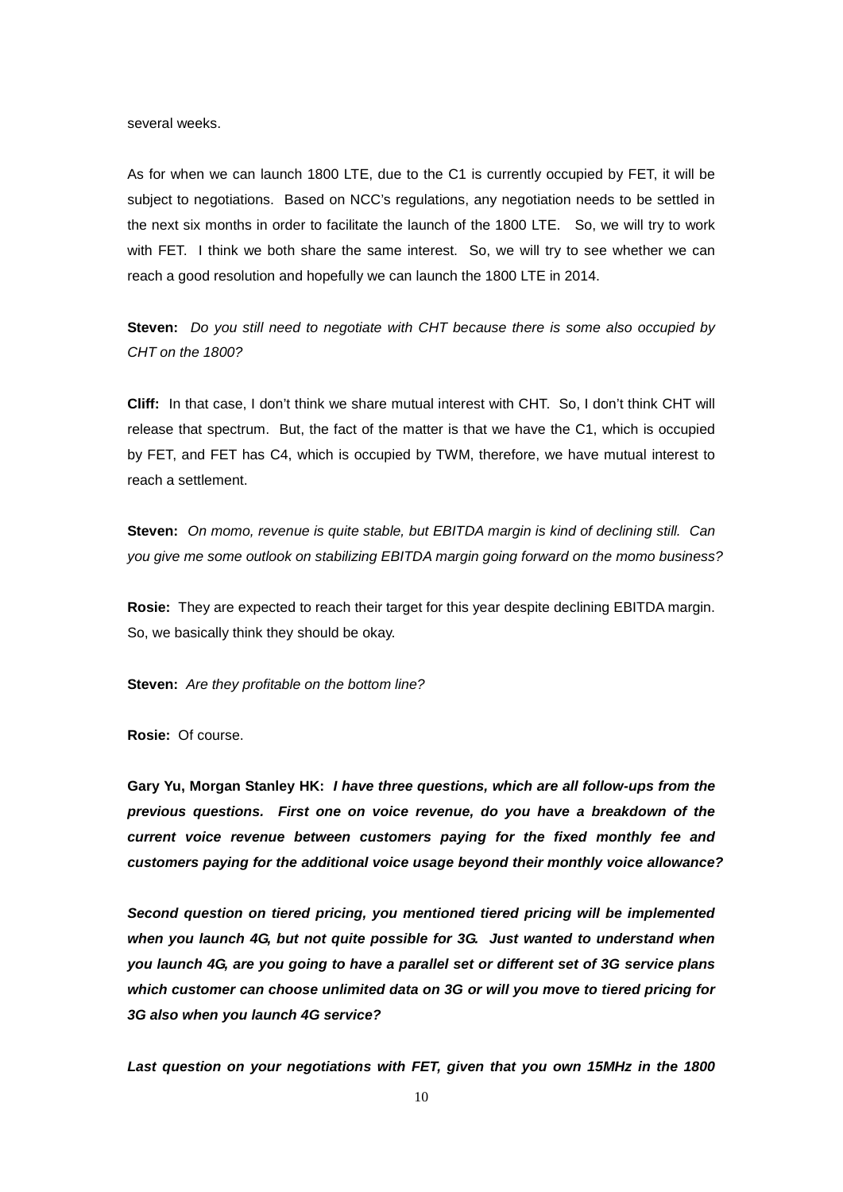several weeks.

As for when we can launch 1800 LTE, due to the C1 is currently occupied by FET, it will be subject to negotiations. Based on NCC's regulations, any negotiation needs to be settled in the next six months in order to facilitate the launch of the 1800 LTE. So, we will try to work with FET. I think we both share the same interest. So, we will try to see whether we can reach a good resolution and hopefully we can launch the 1800 LTE in 2014.

**Steven:** *Do you still need to negotiate with CHT because there is some also occupied by CHT on the 1800?*

**Cliff:** In that case, I don't think we share mutual interest with CHT. So, I don't think CHT will release that spectrum. But, the fact of the matter is that we have the C1, which is occupied by FET, and FET has C4, which is occupied by TWM, therefore, we have mutual interest to reach a settlement.

**Steven:** *On momo, revenue is quite stable, but EBITDA margin is kind of declining still. Can you give me some outlook on stabilizing EBITDA margin going forward on the momo business?*

**Rosie:** They are expected to reach their target for this year despite declining EBITDA margin. So, we basically think they should be okay.

**Steven:** *Are they profitable on the bottom line?*

**Rosie:** Of course.

**Gary Yu, Morgan Stanley HK:** *I have three questions, which are all follow-ups from the previous questions. First one on voice revenue, do you have a breakdown of the current voice revenue between customers paying for the fixed monthly fee and customers paying for the additional voice usage beyond their monthly voice allowance?*

*Second question on tiered pricing, you mentioned tiered pricing will be implemented when you launch 4G, but not quite possible for 3G. Just wanted to understand when you launch 4G, are you going to have a parallel set or different set of 3G service plans which customer can choose unlimited data on 3G or will you move to tiered pricing for 3G also when you launch 4G service?*

*Last question on your negotiations with FET, given that you own 15MHz in the 1800*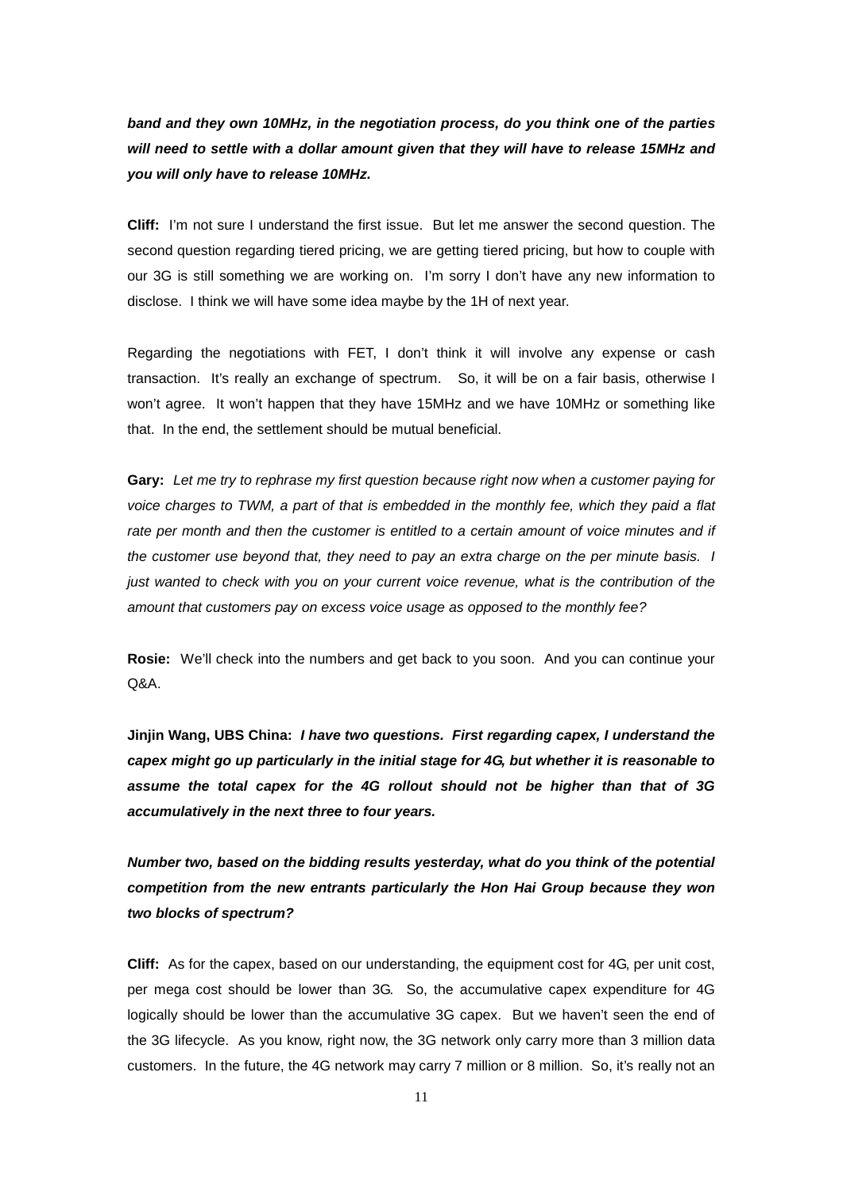*band and they own 10MHz, in the negotiation process, do you think one of the parties will need to settle with a dollar amount given that they will have to release 15MHz and you will only have to release 10MHz.* 

**Cliff:** I'm not sure I understand the first issue. But let me answer the second question. The second question regarding tiered pricing, we are getting tiered pricing, but how to couple with our 3G is still something we are working on. I'm sorry I don't have any new information to disclose. I think we will have some idea maybe by the 1H of next year.

Regarding the negotiations with FET, I don't think it will involve any expense or cash transaction. It's really an exchange of spectrum. So, it will be on a fair basis, otherwise I won't agree. It won't happen that they have 15MHz and we have 10MHz or something like that. In the end, the settlement should be mutual beneficial.

**Gary:** *Let me try to rephrase my first question because right now when a customer paying for voice charges to TWM, a part of that is embedded in the monthly fee, which they paid a flat rate per month and then the customer is entitled to a certain amount of voice minutes and if the customer use beyond that, they need to pay an extra charge on the per minute basis. I just wanted to check with you on your current voice revenue, what is the contribution of the amount that customers pay on excess voice usage as opposed to the monthly fee?*

**Rosie:** We'll check into the numbers and get back to you soon. And you can continue your Q&A.

**Jinjin Wang, UBS China:** *I have two questions. First regarding capex, I understand the capex might go up particularly in the initial stage for 4G, but whether it is reasonable to assume the total capex for the 4G rollout should not be higher than that of 3G accumulatively in the next three to four years.*

*Number two, based on the bidding results yesterday, what do you think of the potential competition from the new entrants particularly the Hon Hai Group because they won two blocks of spectrum?*

**Cliff:** As for the capex, based on our understanding, the equipment cost for 4G, per unit cost, per mega cost should be lower than 3G. So, the accumulative capex expenditure for 4G logically should be lower than the accumulative 3G capex. But we haven't seen the end of the 3G lifecycle. As you know, right now, the 3G network only carry more than 3 million data customers. In the future, the 4G network may carry 7 million or 8 million. So, it's really not an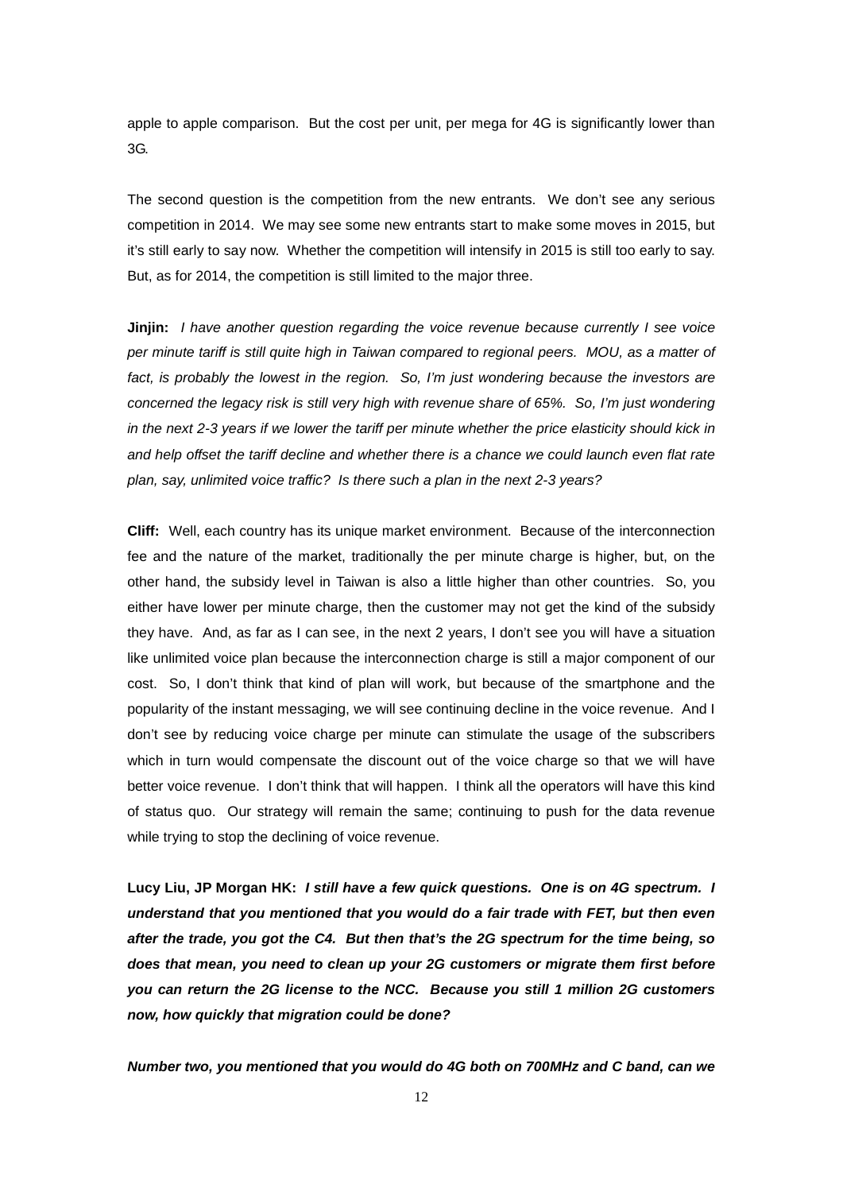apple to apple comparison. But the cost per unit, per mega for 4G is significantly lower than 3G.

The second question is the competition from the new entrants. We don't see any serious competition in 2014. We may see some new entrants start to make some moves in 2015, but it's still early to say now. Whether the competition will intensify in 2015 is still too early to say. But, as for 2014, the competition is still limited to the major three.

**Jinjin:** *I have another question regarding the voice revenue because currently I see voice per minute tariff is still quite high in Taiwan compared to regional peers. MOU, as a matter of*  fact, is probably the lowest in the region. So, I'm just wondering because the investors are *concerned the legacy risk is still very high with revenue share of 65%. So, I'm just wondering in the next 2-3 years if we lower the tariff per minute whether the price elasticity should kick in and help offset the tariff decline and whether there is a chance we could launch even flat rate plan, say, unlimited voice traffic? Is there such a plan in the next 2-3 years?*

**Cliff:** Well, each country has its unique market environment. Because of the interconnection fee and the nature of the market, traditionally the per minute charge is higher, but, on the other hand, the subsidy level in Taiwan is also a little higher than other countries. So, you either have lower per minute charge, then the customer may not get the kind of the subsidy they have. And, as far as I can see, in the next 2 years, I don't see you will have a situation like unlimited voice plan because the interconnection charge is still a major component of our cost. So, I don't think that kind of plan will work, but because of the smartphone and the popularity of the instant messaging, we will see continuing decline in the voice revenue. And I don't see by reducing voice charge per minute can stimulate the usage of the subscribers which in turn would compensate the discount out of the voice charge so that we will have better voice revenue. I don't think that will happen. I think all the operators will have this kind of status quo. Our strategy will remain the same; continuing to push for the data revenue while trying to stop the declining of voice revenue.

**Lucy Liu, JP Morgan HK:** *I still have a few quick questions. One is on 4G spectrum. I understand that you mentioned that you would do a fair trade with FET, but then even after the trade, you got the C4. But then that's the 2G spectrum for the time being, so does that mean, you need to clean up your 2G customers or migrate them first before you can return the 2G license to the NCC. Because you still 1 million 2G customers now, how quickly that migration could be done?*

*Number two, you mentioned that you would do 4G both on 700MHz and C band, can we*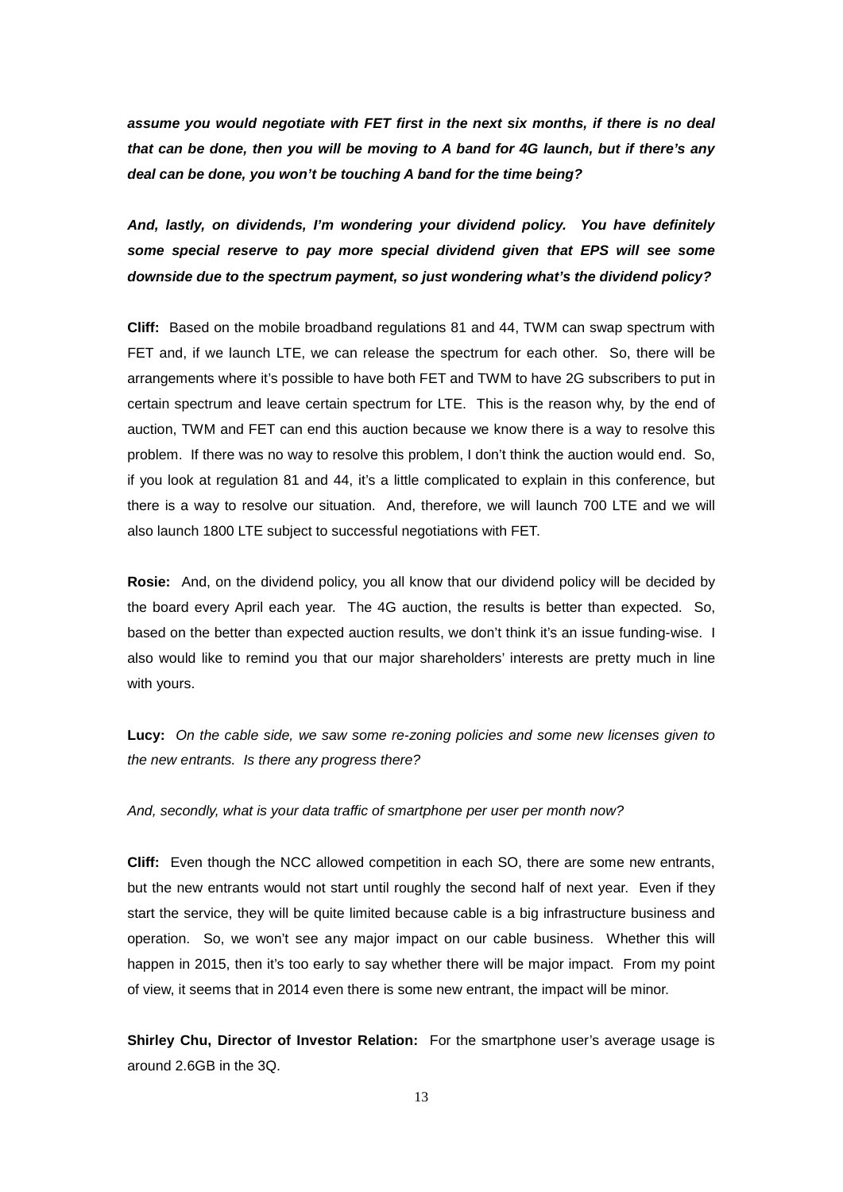*assume you would negotiate with FET first in the next six months, if there is no deal that can be done, then you will be moving to A band for 4G launch, but if there's any deal can be done, you won't be touching A band for the time being?*

*And, lastly, on dividends, I'm wondering your dividend policy. You have definitely some special reserve to pay more special dividend given that EPS will see some downside due to the spectrum payment, so just wondering what's the dividend policy?*

**Cliff:** Based on the mobile broadband regulations 81 and 44, TWM can swap spectrum with FET and, if we launch LTE, we can release the spectrum for each other. So, there will be arrangements where it's possible to have both FET and TWM to have 2G subscribers to put in certain spectrum and leave certain spectrum for LTE. This is the reason why, by the end of auction, TWM and FET can end this auction because we know there is a way to resolve this problem. If there was no way to resolve this problem, I don't think the auction would end. So, if you look at regulation 81 and 44, it's a little complicated to explain in this conference, but there is a way to resolve our situation. And, therefore, we will launch 700 LTE and we will also launch 1800 LTE subject to successful negotiations with FET.

**Rosie:** And, on the dividend policy, you all know that our dividend policy will be decided by the board every April each year. The 4G auction, the results is better than expected. So, based on the better than expected auction results, we don't think it's an issue funding-wise. I also would like to remind you that our major shareholders' interests are pretty much in line with yours.

**Lucy:** *On the cable side, we saw some re-zoning policies and some new licenses given to the new entrants. Is there any progress there?*

*And, secondly, what is your data traffic of smartphone per user per month now?*

**Cliff:** Even though the NCC allowed competition in each SO, there are some new entrants, but the new entrants would not start until roughly the second half of next year. Even if they start the service, they will be quite limited because cable is a big infrastructure business and operation. So, we won't see any major impact on our cable business. Whether this will happen in 2015, then it's too early to say whether there will be major impact. From my point of view, it seems that in 2014 even there is some new entrant, the impact will be minor.

**Shirley Chu, Director of Investor Relation:** For the smartphone user's average usage is around 2.6GB in the 3Q.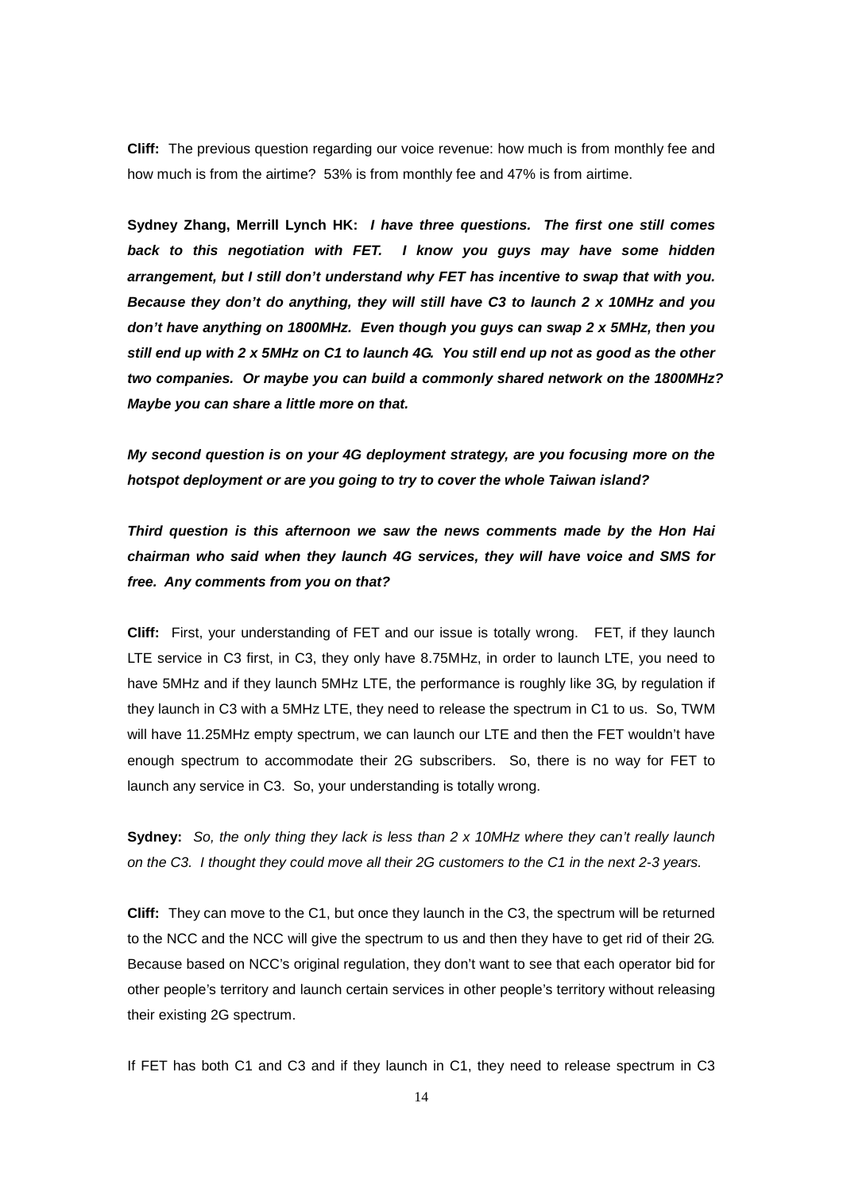**Cliff:** The previous question regarding our voice revenue: how much is from monthly fee and how much is from the airtime? 53% is from monthly fee and 47% is from airtime.

**Sydney Zhang, Merrill Lynch HK:** *I have three questions. The first one still comes back to this negotiation with FET. I know you guys may have some hidden arrangement, but I still don't understand why FET has incentive to swap that with you. Because they don't do anything, they will still have C3 to launch 2 x 10MHz and you don't have anything on 1800MHz. Even though you guys can swap 2 x 5MHz, then you still end up with 2 x 5MHz on C1 to launch 4G. You still end up not as good as the other two companies. Or maybe you can build a commonly shared network on the 1800MHz? Maybe you can share a little more on that.*

*My second question is on your 4G deployment strategy, are you focusing more on the hotspot deployment or are you going to try to cover the whole Taiwan island?*

*Third question is this afternoon we saw the news comments made by the Hon Hai chairman who said when they launch 4G services, they will have voice and SMS for free. Any comments from you on that?*

**Cliff:** First, your understanding of FET and our issue is totally wrong. FET, if they launch LTE service in C3 first, in C3, they only have 8.75MHz, in order to launch LTE, you need to have 5MHz and if they launch 5MHz LTE, the performance is roughly like 3G, by regulation if they launch in C3 with a 5MHz LTE, they need to release the spectrum in C1 to us. So, TWM will have 11.25MHz empty spectrum, we can launch our LTE and then the FET wouldn't have enough spectrum to accommodate their 2G subscribers. So, there is no way for FET to launch any service in C3. So, your understanding is totally wrong.

**Sydney:** *So, the only thing they lack is less than 2 x 10MHz where they can't really launch on the C3. I thought they could move all their 2G customers to the C1 in the next 2-3 years.* 

**Cliff:** They can move to the C1, but once they launch in the C3, the spectrum will be returned to the NCC and the NCC will give the spectrum to us and then they have to get rid of their 2G. Because based on NCC's original regulation, they don't want to see that each operator bid for other people's territory and launch certain services in other people's territory without releasing their existing 2G spectrum.

If FET has both C1 and C3 and if they launch in C1, they need to release spectrum in C3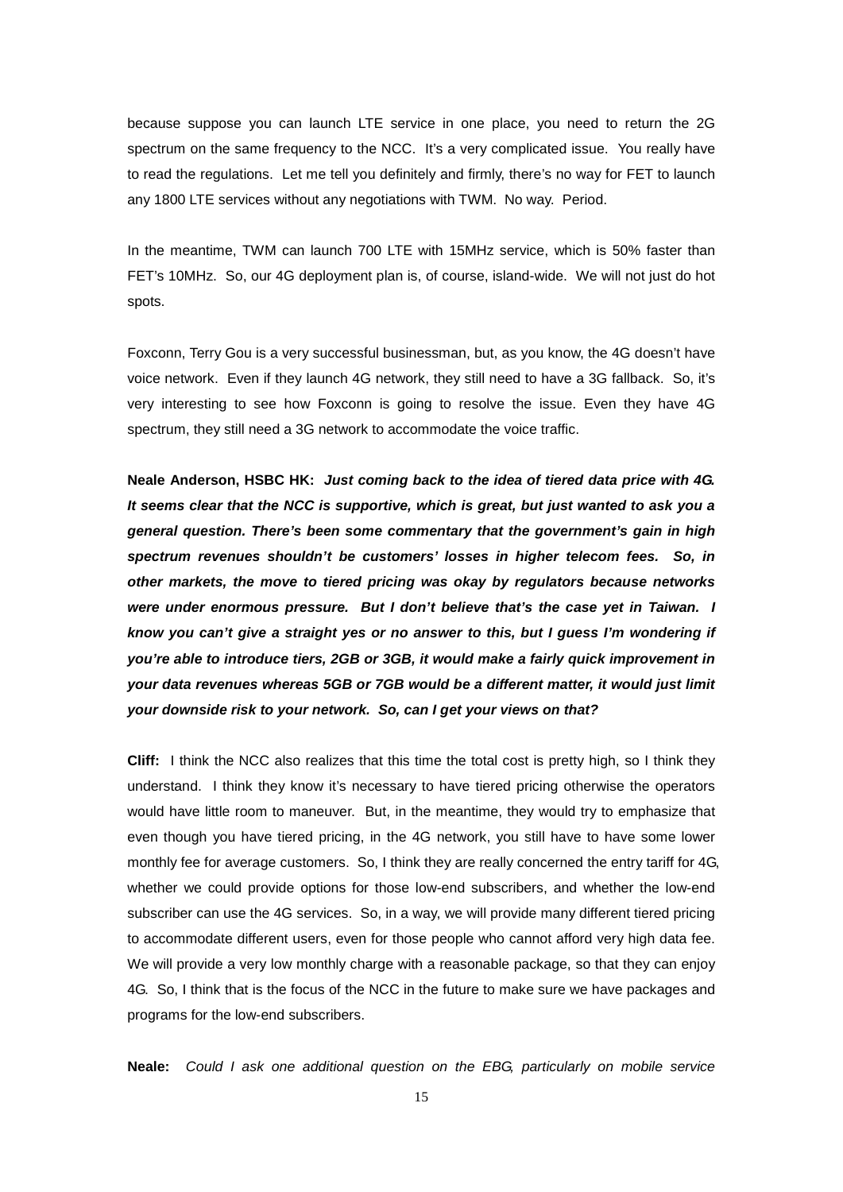because suppose you can launch LTE service in one place, you need to return the 2G spectrum on the same frequency to the NCC. It's a very complicated issue. You really have to read the regulations. Let me tell you definitely and firmly, there's no way for FET to launch any 1800 LTE services without any negotiations with TWM. No way. Period.

In the meantime, TWM can launch 700 LTE with 15MHz service, which is 50% faster than FET's 10MHz. So, our 4G deployment plan is, of course, island-wide. We will not just do hot spots.

Foxconn, Terry Gou is a very successful businessman, but, as you know, the 4G doesn't have voice network. Even if they launch 4G network, they still need to have a 3G fallback. So, it's very interesting to see how Foxconn is going to resolve the issue. Even they have 4G spectrum, they still need a 3G network to accommodate the voice traffic.

**Neale Anderson, HSBC HK:** *Just coming back to the idea of tiered data price with 4G. It seems clear that the NCC is supportive, which is great, but just wanted to ask you a general question. There's been some commentary that the government's gain in high spectrum revenues shouldn't be customers' losses in higher telecom fees. So, in other markets, the move to tiered pricing was okay by regulators because networks were under enormous pressure. But I don't believe that's the case yet in Taiwan. I know you can't give a straight yes or no answer to this, but I guess I'm wondering if you're able to introduce tiers, 2GB or 3GB, it would make a fairly quick improvement in your data revenues whereas 5GB or 7GB would be a different matter, it would just limit your downside risk to your network. So, can I get your views on that?*

**Cliff:** I think the NCC also realizes that this time the total cost is pretty high, so I think they understand. I think they know it's necessary to have tiered pricing otherwise the operators would have little room to maneuver. But, in the meantime, they would try to emphasize that even though you have tiered pricing, in the 4G network, you still have to have some lower monthly fee for average customers. So, I think they are really concerned the entry tariff for 4G, whether we could provide options for those low-end subscribers, and whether the low-end subscriber can use the 4G services. So, in a way, we will provide many different tiered pricing to accommodate different users, even for those people who cannot afford very high data fee. We will provide a very low monthly charge with a reasonable package, so that they can enjoy 4G. So, I think that is the focus of the NCC in the future to make sure we have packages and programs for the low-end subscribers.

**Neale:** *Could I ask one additional question on the EBG, particularly on mobile service*